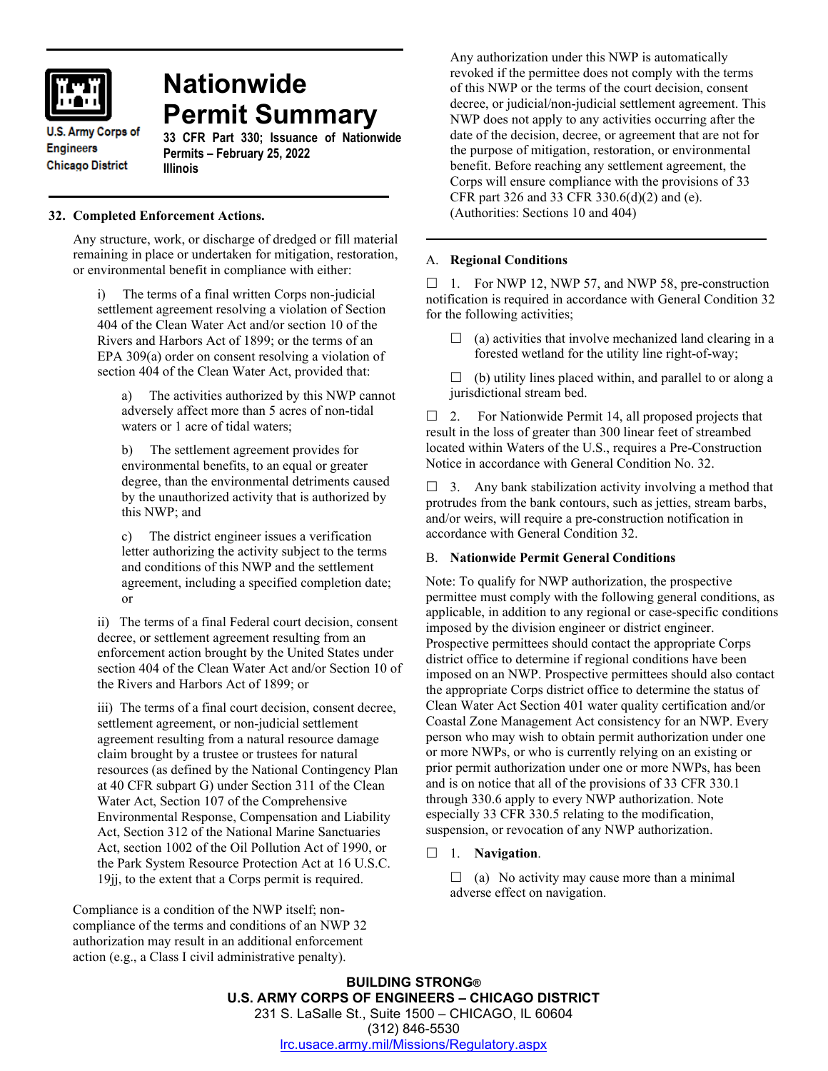

# **Nationwide Permit Summary**

**U.S. Army Corps of Engineers Chicago District** 

**33 CFR Part 330; Issuance of Nationwide Permits – February 25, 2022 Illinois**

# **32. Completed Enforcement Actions.**

Any structure, work, or discharge of dredged or fill material remaining in place or undertaken for mitigation, restoration, or environmental benefit in compliance with either:

i) The terms of a final written Corps non-judicial settlement agreement resolving a violation of Section 404 of the Clean Water Act and/or section 10 of the Rivers and Harbors Act of 1899; or the terms of an EPA 309(a) order on consent resolving a violation of section 404 of the Clean Water Act, provided that:

a) The activities authorized by this NWP cannot adversely affect more than 5 acres of non-tidal waters or 1 acre of tidal waters;

b) The settlement agreement provides for environmental benefits, to an equal or greater degree, than the environmental detriments caused by the unauthorized activity that is authorized by this NWP; and

c) The district engineer issues a verification letter authorizing the activity subject to the terms and conditions of this NWP and the settlement agreement, including a specified completion date; or

ii) The terms of a final Federal court decision, consent decree, or settlement agreement resulting from an enforcement action brought by the United States under section 404 of the Clean Water Act and/or Section 10 of the Rivers and Harbors Act of 1899; or

iii) The terms of a final court decision, consent decree, settlement agreement, or non-judicial settlement agreement resulting from a natural resource damage claim brought by a trustee or trustees for natural resources (as defined by the National Contingency Plan at 40 CFR subpart G) under Section 311 of the Clean Water Act, Section 107 of the Comprehensive Environmental Response, Compensation and Liability Act, Section 312 of the National Marine Sanctuaries Act, section 1002 of the Oil Pollution Act of 1990, or the Park System Resource Protection Act at 16 U.S.C. 19jj, to the extent that a Corps permit is required.

Compliance is a condition of the NWP itself; noncompliance of the terms and conditions of an NWP 32 authorization may result in an additional enforcement action (e.g., a Class I civil administrative penalty).

Any authorization under this NWP is automatically revoked if the permittee does not comply with the terms of this NWP or the terms of the court decision, consent decree, or judicial/non-judicial settlement agreement. This NWP does not apply to any activities occurring after the date of the decision, decree, or agreement that are not for the purpose of mitigation, restoration, or environmental benefit. Before reaching any settlement agreement, the Corps will ensure compliance with the provisions of 33 CFR part 326 and 33 CFR 330.6(d)(2) and (e). (Authorities: Sections 10 and 404)

# A. **Regional Conditions**

 $\Box$  1. For NWP 12, NWP 57, and NWP 58, pre-construction notification is required in accordance with General Condition 32 for the following activities;

 $\Box$  (a) activities that involve mechanized land clearing in a forested wetland for the utility line right-of-way;

 $\Box$  (b) utility lines placed within, and parallel to or along a jurisdictional stream bed.

 $\Box$  2. For Nationwide Permit 14, all proposed projects that result in the loss of greater than 300 linear feet of streambed located within Waters of the U.S., requires a Pre-Construction Notice in accordance with General Condition No. 32.

 $\Box$  3. Any bank stabilization activity involving a method that protrudes from the bank contours, such as jetties, stream barbs, and/or weirs, will require a pre-construction notification in accordance with General Condition 32.

# B. **Nationwide Permit General Conditions**

Note: To qualify for NWP authorization, the prospective permittee must comply with the following general conditions, as applicable, in addition to any regional or case-specific conditions imposed by the division engineer or district engineer. Prospective permittees should contact the appropriate Corps district office to determine if regional conditions have been imposed on an NWP. Prospective permittees should also contact the appropriate Corps district office to determine the status of Clean Water Act Section 401 water quality certification and/or Coastal Zone Management Act consistency for an NWP. Every person who may wish to obtain permit authorization under one or more NWPs, or who is currently relying on an existing or prior permit authorization under one or more NWPs, has been and is on notice that all of the provisions of 33 CFR 330.1 through 330.6 apply to every NWP authorization. Note especially 33 CFR 330.5 relating to the modification, suspension, or revocation of any NWP authorization.

# 1. **Navigation**.

 $\Box$  (a) No activity may cause more than a minimal adverse effect on navigation.

**BUILDING STRONG® U.S. ARMY CORPS OF ENGINEERS – CHICAGO DISTRICT** 231 S. LaSalle St., Suite 1500 – CHICAGO, IL 60604 (312) 846-5530 [lrc.usace.army.mil/Missions/Regulatory.aspx](https://www.lrc.usace.army.mil/Missions/Regulatory.aspx)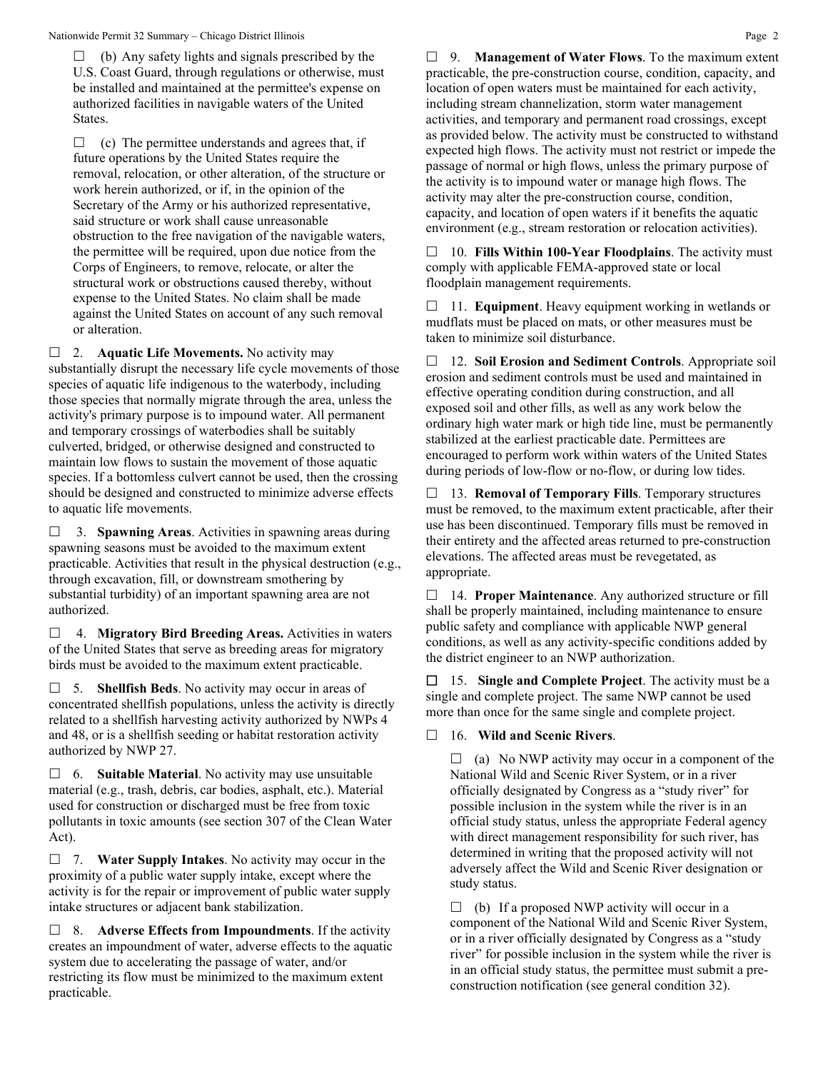$\Box$  (b) Any safety lights and signals prescribed by the U.S. Coast Guard, through regulations or otherwise, must be installed and maintained at the permittee's expense on authorized facilities in navigable waters of the United States.

 $\Box$  (c) The permittee understands and agrees that, if future operations by the United States require the removal, relocation, or other alteration, of the structure or work herein authorized, or if, in the opinion of the Secretary of the Army or his authorized representative, said structure or work shall cause unreasonable obstruction to the free navigation of the navigable waters, the permittee will be required, upon due notice from the Corps of Engineers, to remove, relocate, or alter the structural work or obstructions caused thereby, without expense to the United States. No claim shall be made against the United States on account of any such removal or alteration.

□ 2. **Aquatic Life Movements.** No activity may substantially disrupt the necessary life cycle movements of those species of aquatic life indigenous to the waterbody, including those species that normally migrate through the area, unless the activity's primary purpose is to impound water. All permanent and temporary crossings of waterbodies shall be suitably culverted, bridged, or otherwise designed and constructed to maintain low flows to sustain the movement of those aquatic species. If a bottomless culvert cannot be used, then the crossing should be designed and constructed to minimize adverse effects to aquatic life movements.

 3. **Spawning Areas**. Activities in spawning areas during spawning seasons must be avoided to the maximum extent practicable. Activities that result in the physical destruction (e.g., through excavation, fill, or downstream smothering by substantial turbidity) of an important spawning area are not authorized.

 4. **Migratory Bird Breeding Areas.** Activities in waters of the United States that serve as breeding areas for migratory birds must be avoided to the maximum extent practicable.

 5. **Shellfish Beds**. No activity may occur in areas of concentrated shellfish populations, unless the activity is directly related to a shellfish harvesting activity authorized by NWPs 4 and 48, or is a shellfish seeding or habitat restoration activity authorized by NWP 27.

 6. **Suitable Material**. No activity may use unsuitable material (e.g., trash, debris, car bodies, asphalt, etc.). Material used for construction or discharged must be free from toxic pollutants in toxic amounts (see section 307 of the Clean Water Act).

 7. **Water Supply Intakes**. No activity may occur in the proximity of a public water supply intake, except where the activity is for the repair or improvement of public water supply intake structures or adjacent bank stabilization.

 8. **Adverse Effects from Impoundments**. If the activity creates an impoundment of water, adverse effects to the aquatic system due to accelerating the passage of water, and/or restricting its flow must be minimized to the maximum extent practicable.

 9. **Management of Water Flows**. To the maximum extent practicable, the pre-construction course, condition, capacity, and location of open waters must be maintained for each activity, including stream channelization, storm water management activities, and temporary and permanent road crossings, except as provided below. The activity must be constructed to withstand expected high flows. The activity must not restrict or impede the passage of normal or high flows, unless the primary purpose of the activity is to impound water or manage high flows. The activity may alter the pre-construction course, condition, capacity, and location of open waters if it benefits the aquatic environment (e.g., stream restoration or relocation activities).

 10. **Fills Within 100-Year Floodplains**. The activity must comply with applicable FEMA-approved state or local floodplain management requirements.

□ 11. **Equipment**. Heavy equipment working in wetlands or mudflats must be placed on mats, or other measures must be taken to minimize soil disturbance.

 12. **Soil Erosion and Sediment Controls**. Appropriate soil erosion and sediment controls must be used and maintained in effective operating condition during construction, and all exposed soil and other fills, as well as any work below the ordinary high water mark or high tide line, must be permanently stabilized at the earliest practicable date. Permittees are encouraged to perform work within waters of the United States during periods of low-flow or no-flow, or during low tides.

 13. **Removal of Temporary Fills**. Temporary structures must be removed, to the maximum extent practicable, after their use has been discontinued. Temporary fills must be removed in their entirety and the affected areas returned to pre-construction elevations. The affected areas must be revegetated, as appropriate.

 14. **Proper Maintenance**. Any authorized structure or fill shall be properly maintained, including maintenance to ensure public safety and compliance with applicable NWP general conditions, as well as any activity-specific conditions added by the district engineer to an NWP authorization.

 15. **Single and Complete Project**. The activity must be a single and complete project. The same NWP cannot be used more than once for the same single and complete project.

# 16. **Wild and Scenic Rivers**.

 $\Box$  (a) No NWP activity may occur in a component of the National Wild and Scenic River System, or in a river officially designated by Congress as a "study river" for possible inclusion in the system while the river is in an official study status, unless the appropriate Federal agency with direct management responsibility for such river, has determined in writing that the proposed activity will not adversely affect the Wild and Scenic River designation or study status.

 $\Box$  (b) If a proposed NWP activity will occur in a component of the National Wild and Scenic River System, or in a river officially designated by Congress as a "study river" for possible inclusion in the system while the river is in an official study status, the permittee must submit a preconstruction notification (see general condition 32).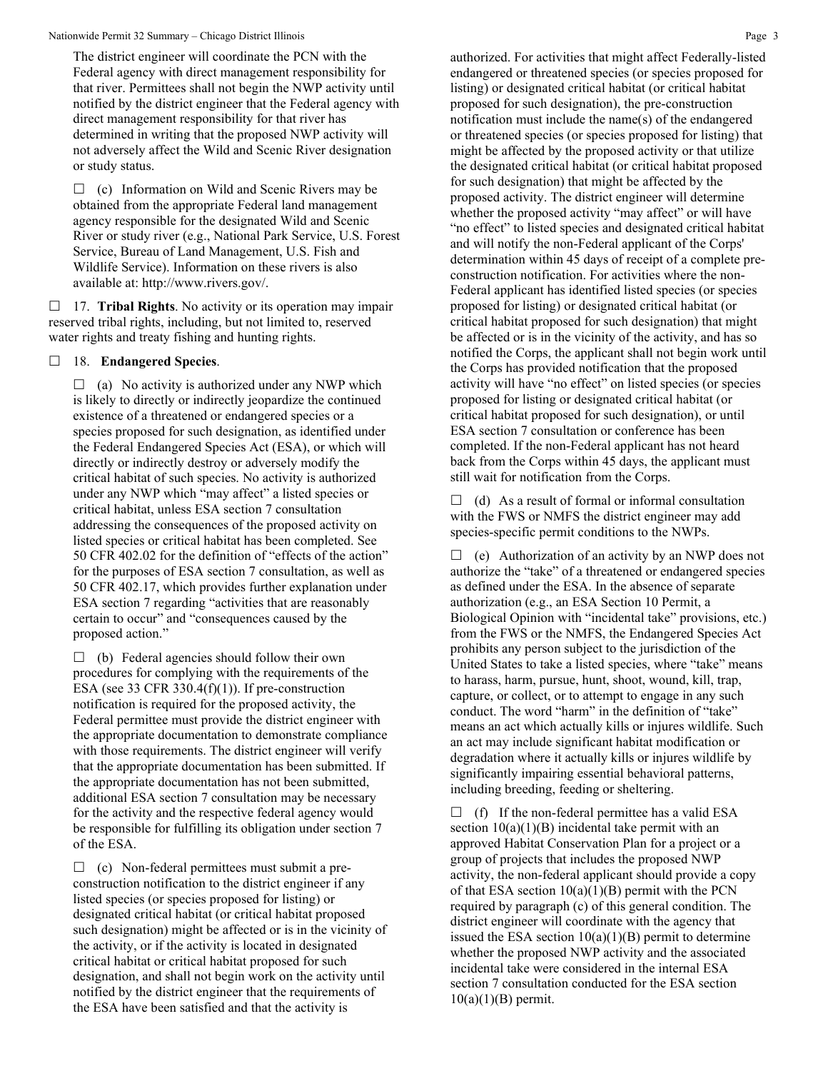The district engineer will coordinate the PCN with the Federal agency with direct management responsibility for that river. Permittees shall not begin the NWP activity until notified by the district engineer that the Federal agency with direct management responsibility for that river has determined in writing that the proposed NWP activity will not adversely affect the Wild and Scenic River designation or study status.

 $\Box$  (c) Information on Wild and Scenic Rivers may be obtained from the appropriate Federal land management agency responsible for the designated Wild and Scenic River or study river (e.g., National Park Service, U.S. Forest Service, Bureau of Land Management, U.S. Fish and Wildlife Service). Information on these rivers is also available at: http://www.rivers.gov/.

 17. **Tribal Rights**. No activity or its operation may impair reserved tribal rights, including, but not limited to, reserved water rights and treaty fishing and hunting rights.

## 18. **Endangered Species**.

 $\Box$  (a) No activity is authorized under any NWP which is likely to directly or indirectly jeopardize the continued existence of a threatened or endangered species or a species proposed for such designation, as identified under the Federal Endangered Species Act (ESA), or which will directly or indirectly destroy or adversely modify the critical habitat of such species. No activity is authorized under any NWP which "may affect" a listed species or critical habitat, unless ESA section 7 consultation addressing the consequences of the proposed activity on listed species or critical habitat has been completed. See 50 CFR 402.02 for the definition of "effects of the action" for the purposes of ESA section 7 consultation, as well as 50 CFR 402.17, which provides further explanation under ESA section 7 regarding "activities that are reasonably certain to occur" and "consequences caused by the proposed action."

 $\Box$  (b) Federal agencies should follow their own procedures for complying with the requirements of the ESA (see 33 CFR 330.4 $(f)(1)$ ). If pre-construction notification is required for the proposed activity, the Federal permittee must provide the district engineer with the appropriate documentation to demonstrate compliance with those requirements. The district engineer will verify that the appropriate documentation has been submitted. If the appropriate documentation has not been submitted, additional ESA section 7 consultation may be necessary for the activity and the respective federal agency would be responsible for fulfilling its obligation under section 7 of the ESA.

 $\Box$  (c) Non-federal permittees must submit a preconstruction notification to the district engineer if any listed species (or species proposed for listing) or designated critical habitat (or critical habitat proposed such designation) might be affected or is in the vicinity of the activity, or if the activity is located in designated critical habitat or critical habitat proposed for such designation, and shall not begin work on the activity until notified by the district engineer that the requirements of the ESA have been satisfied and that the activity is

authorized. For activities that might affect Federally-listed endangered or threatened species (or species proposed for listing) or designated critical habitat (or critical habitat proposed for such designation), the pre-construction notification must include the name(s) of the endangered or threatened species (or species proposed for listing) that might be affected by the proposed activity or that utilize the designated critical habitat (or critical habitat proposed for such designation) that might be affected by the proposed activity. The district engineer will determine whether the proposed activity "may affect" or will have "no effect" to listed species and designated critical habitat and will notify the non-Federal applicant of the Corps' determination within 45 days of receipt of a complete preconstruction notification. For activities where the non-Federal applicant has identified listed species (or species proposed for listing) or designated critical habitat (or critical habitat proposed for such designation) that might be affected or is in the vicinity of the activity, and has so notified the Corps, the applicant shall not begin work until the Corps has provided notification that the proposed activity will have "no effect" on listed species (or species proposed for listing or designated critical habitat (or critical habitat proposed for such designation), or until ESA section 7 consultation or conference has been completed. If the non-Federal applicant has not heard back from the Corps within 45 days, the applicant must still wait for notification from the Corps.

 $\Box$  (d) As a result of formal or informal consultation with the FWS or NMFS the district engineer may add species-specific permit conditions to the NWPs.

 $\Box$  (e) Authorization of an activity by an NWP does not authorize the "take" of a threatened or endangered species as defined under the ESA. In the absence of separate authorization (e.g., an ESA Section 10 Permit, a Biological Opinion with "incidental take" provisions, etc.) from the FWS or the NMFS, the Endangered Species Act prohibits any person subject to the jurisdiction of the United States to take a listed species, where "take" means to harass, harm, pursue, hunt, shoot, wound, kill, trap, capture, or collect, or to attempt to engage in any such conduct. The word "harm" in the definition of "take" means an act which actually kills or injures wildlife. Such an act may include significant habitat modification or degradation where it actually kills or injures wildlife by significantly impairing essential behavioral patterns, including breeding, feeding or sheltering.

 $\Box$  (f) If the non-federal permittee has a valid ESA section  $10(a)(1)(B)$  incidental take permit with an approved Habitat Conservation Plan for a project or a group of projects that includes the proposed NWP activity, the non-federal applicant should provide a copy of that ESA section  $10(a)(1)(B)$  permit with the PCN required by paragraph (c) of this general condition. The district engineer will coordinate with the agency that issued the ESA section  $10(a)(1)(B)$  permit to determine whether the proposed NWP activity and the associated incidental take were considered in the internal ESA section 7 consultation conducted for the ESA section  $10(a)(1)(B)$  permit.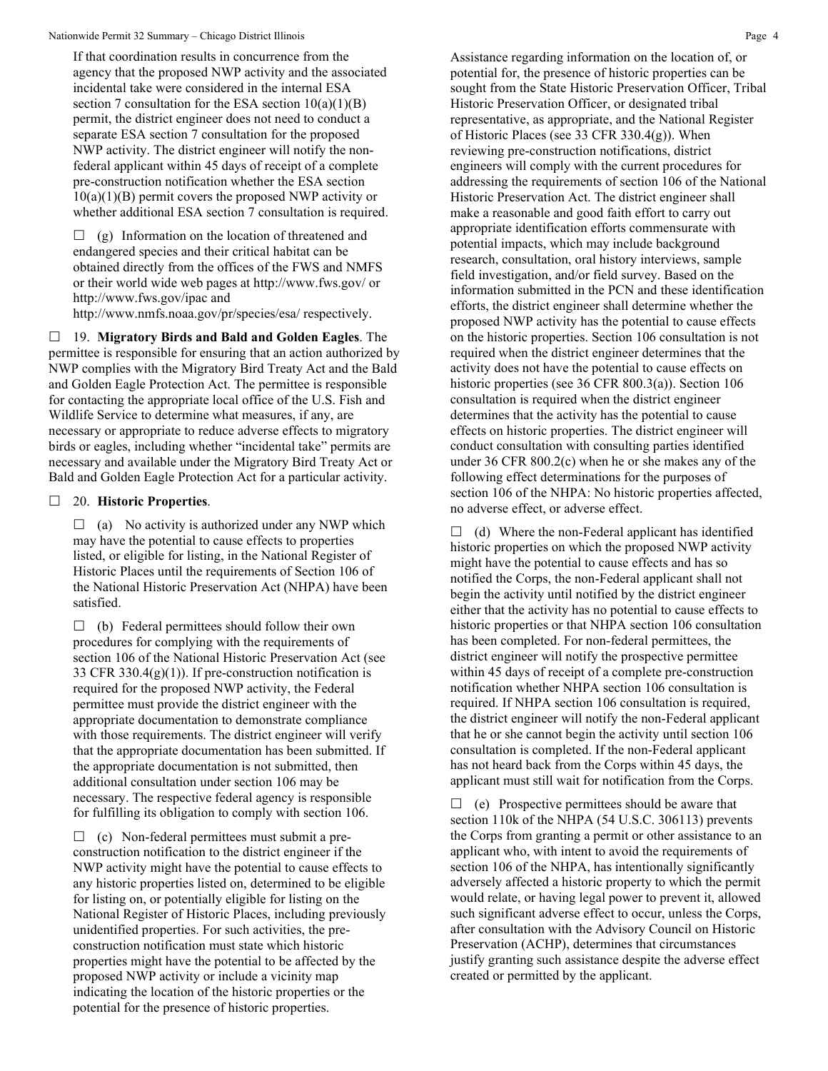If that coordination results in concurrence from the agency that the proposed NWP activity and the associated incidental take were considered in the internal ESA section 7 consultation for the ESA section  $10(a)(1)(B)$ permit, the district engineer does not need to conduct a separate ESA section 7 consultation for the proposed NWP activity. The district engineer will notify the nonfederal applicant within 45 days of receipt of a complete pre-construction notification whether the ESA section  $10(a)(1)(B)$  permit covers the proposed NWP activity or whether additional ESA section 7 consultation is required.

 $\Box$  (g) Information on the location of threatened and endangered species and their critical habitat can be obtained directly from the offices of the FWS and NMFS or their world wide web pages at http://www.fws.gov/ or http://www.fws.gov/ipac and

http://www.nmfs.noaa.gov/pr/species/esa/ respectively.

 19. **Migratory Birds and Bald and Golden Eagles**. The permittee is responsible for ensuring that an action authorized by NWP complies with the Migratory Bird Treaty Act and the Bald and Golden Eagle Protection Act. The permittee is responsible for contacting the appropriate local office of the U.S. Fish and Wildlife Service to determine what measures, if any, are necessary or appropriate to reduce adverse effects to migratory birds or eagles, including whether "incidental take" permits are necessary and available under the Migratory Bird Treaty Act or Bald and Golden Eagle Protection Act for a particular activity.

# 20. **Historic Properties**.

 $\Box$  (a) No activity is authorized under any NWP which may have the potential to cause effects to properties listed, or eligible for listing, in the National Register of Historic Places until the requirements of Section 106 of the National Historic Preservation Act (NHPA) have been satisfied.

 $\Box$  (b) Federal permittees should follow their own procedures for complying with the requirements of section 106 of the National Historic Preservation Act (see 33 CFR 330.4(g)(1)). If pre-construction notification is required for the proposed NWP activity, the Federal permittee must provide the district engineer with the appropriate documentation to demonstrate compliance with those requirements. The district engineer will verify that the appropriate documentation has been submitted. If the appropriate documentation is not submitted, then additional consultation under section 106 may be necessary. The respective federal agency is responsible for fulfilling its obligation to comply with section 106.

 $\Box$  (c) Non-federal permittees must submit a preconstruction notification to the district engineer if the NWP activity might have the potential to cause effects to any historic properties listed on, determined to be eligible for listing on, or potentially eligible for listing on the National Register of Historic Places, including previously unidentified properties. For such activities, the preconstruction notification must state which historic properties might have the potential to be affected by the proposed NWP activity or include a vicinity map indicating the location of the historic properties or the potential for the presence of historic properties.

Assistance regarding information on the location of, or potential for, the presence of historic properties can be sought from the State Historic Preservation Officer, Tribal Historic Preservation Officer, or designated tribal representative, as appropriate, and the National Register of Historic Places (see 33 CFR 330.4(g)). When reviewing pre-construction notifications, district engineers will comply with the current procedures for addressing the requirements of section 106 of the National Historic Preservation Act. The district engineer shall make a reasonable and good faith effort to carry out appropriate identification efforts commensurate with potential impacts, which may include background research, consultation, oral history interviews, sample field investigation, and/or field survey. Based on the information submitted in the PCN and these identification efforts, the district engineer shall determine whether the proposed NWP activity has the potential to cause effects on the historic properties. Section 106 consultation is not required when the district engineer determines that the activity does not have the potential to cause effects on historic properties (see 36 CFR 800.3(a)). Section 106 consultation is required when the district engineer determines that the activity has the potential to cause effects on historic properties. The district engineer will conduct consultation with consulting parties identified under 36 CFR 800.2(c) when he or she makes any of the following effect determinations for the purposes of section 106 of the NHPA: No historic properties affected, no adverse effect, or adverse effect.

 $\Box$  (d) Where the non-Federal applicant has identified historic properties on which the proposed NWP activity might have the potential to cause effects and has so notified the Corps, the non-Federal applicant shall not begin the activity until notified by the district engineer either that the activity has no potential to cause effects to historic properties or that NHPA section 106 consultation has been completed. For non-federal permittees, the district engineer will notify the prospective permittee within 45 days of receipt of a complete pre-construction notification whether NHPA section 106 consultation is required. If NHPA section 106 consultation is required, the district engineer will notify the non-Federal applicant that he or she cannot begin the activity until section 106 consultation is completed. If the non-Federal applicant has not heard back from the Corps within 45 days, the applicant must still wait for notification from the Corps.

 $\Box$  (e) Prospective permittees should be aware that section 110k of the NHPA (54 U.S.C. 306113) prevents the Corps from granting a permit or other assistance to an applicant who, with intent to avoid the requirements of section 106 of the NHPA, has intentionally significantly adversely affected a historic property to which the permit would relate, or having legal power to prevent it, allowed such significant adverse effect to occur, unless the Corps, after consultation with the Advisory Council on Historic Preservation (ACHP), determines that circumstances justify granting such assistance despite the adverse effect created or permitted by the applicant.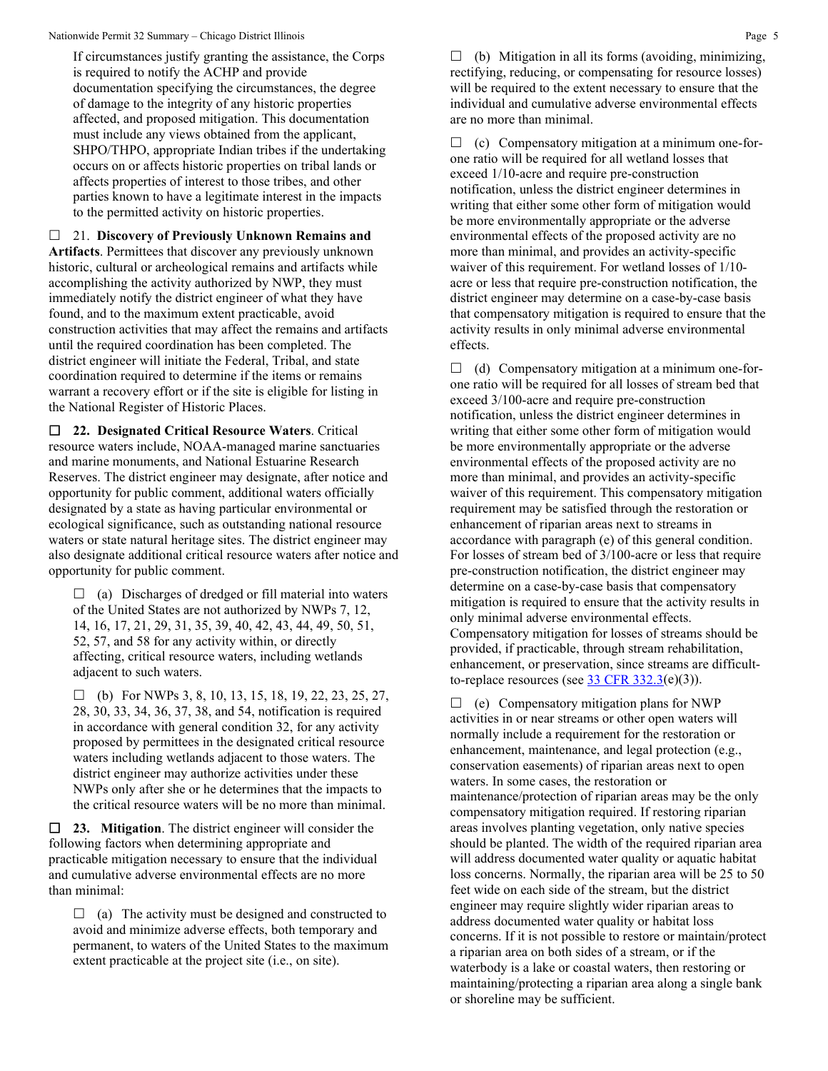If circumstances justify granting the assistance, the Corps is required to notify the ACHP and provide documentation specifying the circumstances, the degree of damage to the integrity of any historic properties affected, and proposed mitigation. This documentation must include any views obtained from the applicant, SHPO/THPO, appropriate Indian tribes if the undertaking occurs on or affects historic properties on tribal lands or affects properties of interest to those tribes, and other parties known to have a legitimate interest in the impacts to the permitted activity on historic properties.

 21. **Discovery of Previously Unknown Remains and Artifacts**. Permittees that discover any previously unknown historic, cultural or archeological remains and artifacts while accomplishing the activity authorized by NWP, they must immediately notify the district engineer of what they have found, and to the maximum extent practicable, avoid construction activities that may affect the remains and artifacts until the required coordination has been completed. The district engineer will initiate the Federal, Tribal, and state coordination required to determine if the items or remains warrant a recovery effort or if the site is eligible for listing in the National Register of Historic Places.

 **22. Designated Critical Resource Waters**. Critical resource waters include, NOAA-managed marine sanctuaries and marine monuments, and National Estuarine Research Reserves. The district engineer may designate, after notice and opportunity for public comment, additional waters officially designated by a state as having particular environmental or ecological significance, such as outstanding national resource waters or state natural heritage sites. The district engineer may also designate additional critical resource waters after notice and opportunity for public comment.

 $\Box$  (a) Discharges of dredged or fill material into waters of the United States are not authorized by NWPs 7, 12, 14, 16, 17, 21, 29, 31, 35, 39, 40, 42, 43, 44, 49, 50, 51, 52, 57, and 58 for any activity within, or directly affecting, critical resource waters, including wetlands adjacent to such waters.

 $\Box$  (b) For NWPs 3, 8, 10, 13, 15, 18, 19, 22, 23, 25, 27, 28, 30, 33, 34, 36, 37, 38, and 54, notification is required in accordance with general condition 32, for any activity proposed by permittees in the designated critical resource waters including wetlands adjacent to those waters. The district engineer may authorize activities under these NWPs only after she or he determines that the impacts to the critical resource waters will be no more than minimal.

 **23. Mitigation**. The district engineer will consider the following factors when determining appropriate and practicable mitigation necessary to ensure that the individual and cumulative adverse environmental effects are no more than minimal:

 $\Box$  (a) The activity must be designed and constructed to avoid and minimize adverse effects, both temporary and permanent, to waters of the United States to the maximum extent practicable at the project site (i.e., on site).

 $\Box$  (b) Mitigation in all its forms (avoiding, minimizing, rectifying, reducing, or compensating for resource losses) will be required to the extent necessary to ensure that the individual and cumulative adverse environmental effects are no more than minimal.

 $\Box$  (c) Compensatory mitigation at a minimum one-forone ratio will be required for all wetland losses that exceed 1/10-acre and require pre-construction notification, unless the district engineer determines in writing that either some other form of mitigation would be more environmentally appropriate or the adverse environmental effects of the proposed activity are no more than minimal, and provides an activity-specific waiver of this requirement. For wetland losses of 1/10 acre or less that require pre-construction notification, the district engineer may determine on a case-by-case basis that compensatory mitigation is required to ensure that the activity results in only minimal adverse environmental effects.

 $\Box$  (d) Compensatory mitigation at a minimum one-forone ratio will be required for all losses of stream bed that exceed 3/100-acre and require pre-construction notification, unless the district engineer determines in writing that either some other form of mitigation would be more environmentally appropriate or the adverse environmental effects of the proposed activity are no more than minimal, and provides an activity-specific waiver of this requirement. This compensatory mitigation requirement may be satisfied through the restoration or enhancement of riparian areas next to streams in accordance with paragraph (e) of this general condition. For losses of stream bed of 3/100-acre or less that require pre-construction notification, the district engineer may determine on a case-by-case basis that compensatory mitigation is required to ensure that the activity results in only minimal adverse environmental effects. Compensatory mitigation for losses of streams should be provided, if practicable, through stream rehabilitation, enhancement, or preservation, since streams are difficultto-replace resources (see  $33 \text{ CFR } 332.3(e)(3)$ ).

 $\Box$  (e) Compensatory mitigation plans for NWP activities in or near streams or other open waters will normally include a requirement for the restoration or enhancement, maintenance, and legal protection (e.g., conservation easements) of riparian areas next to open waters. In some cases, the restoration or maintenance/protection of riparian areas may be the only compensatory mitigation required. If restoring riparian areas involves planting vegetation, only native species should be planted. The width of the required riparian area will address documented water quality or aquatic habitat loss concerns. Normally, the riparian area will be 25 to 50 feet wide on each side of the stream, but the district engineer may require slightly wider riparian areas to address documented water quality or habitat loss concerns. If it is not possible to restore or maintain/protect a riparian area on both sides of a stream, or if the waterbody is a lake or coastal waters, then restoring or maintaining/protecting a riparian area along a single bank or shoreline may be sufficient.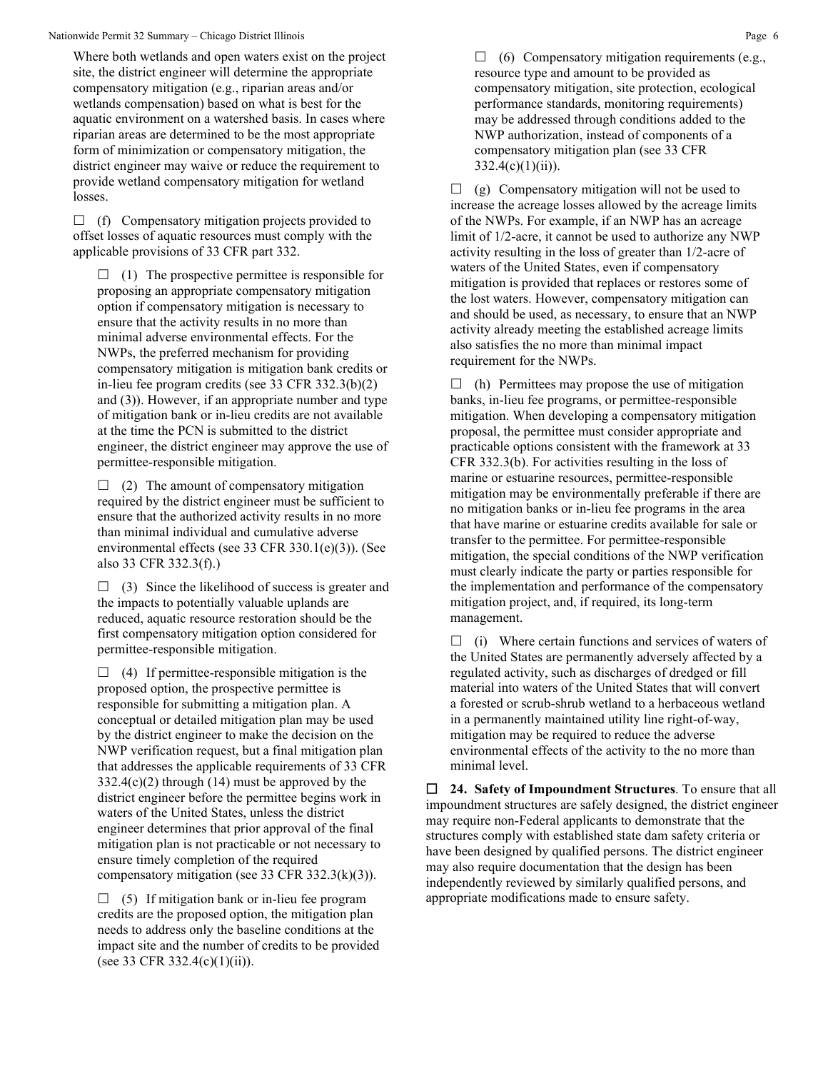Where both wetlands and open waters exist on the project site, the district engineer will determine the appropriate compensatory mitigation (e.g., riparian areas and/or wetlands compensation) based on what is best for the aquatic environment on a watershed basis. In cases where riparian areas are determined to be the most appropriate form of minimization or compensatory mitigation, the district engineer may waive or reduce the requirement to provide wetland compensatory mitigation for wetland losses.

 $\Box$  (f) Compensatory mitigation projects provided to offset losses of aquatic resources must comply with the applicable provisions of 33 CFR part 332.

 $\Box$  (1) The prospective permittee is responsible for proposing an appropriate compensatory mitigation option if compensatory mitigation is necessary to ensure that the activity results in no more than minimal adverse environmental effects. For the NWPs, the preferred mechanism for providing compensatory mitigation is mitigation bank credits or in-lieu fee program credits (see 33 CFR 332.3(b)(2) and (3)). However, if an appropriate number and type of mitigation bank or in-lieu credits are not available at the time the PCN is submitted to the district engineer, the district engineer may approve the use of permittee-responsible mitigation.

 $\Box$  (2) The amount of compensatory mitigation required by the district engineer must be sufficient to ensure that the authorized activity results in no more than minimal individual and cumulative adverse environmental effects (see 33 CFR 330.1(e)(3)). (See also 33 CFR 332.3(f).)

 $\Box$  (3) Since the likelihood of success is greater and the impacts to potentially valuable uplands are reduced, aquatic resource restoration should be the first compensatory mitigation option considered for permittee-responsible mitigation.

 $\Box$  (4) If permittee-responsible mitigation is the proposed option, the prospective permittee is responsible for submitting a mitigation plan. A conceptual or detailed mitigation plan may be used by the district engineer to make the decision on the NWP verification request, but a final mitigation plan that addresses the applicable requirements of 33 CFR 332.4(c)(2) through (14) must be approved by the district engineer before the permittee begins work in waters of the United States, unless the district engineer determines that prior approval of the final mitigation plan is not practicable or not necessary to ensure timely completion of the required compensatory mitigation (see 33 CFR 332.3(k)(3)).

 $\Box$  (5) If mitigation bank or in-lieu fee program credits are the proposed option, the mitigation plan needs to address only the baseline conditions at the impact site and the number of credits to be provided (see 33 CFR 332.4(c)(1)(ii)).

 $\Box$  (6) Compensatory mitigation requirements (e.g., resource type and amount to be provided as compensatory mitigation, site protection, ecological performance standards, monitoring requirements) may be addressed through conditions added to the NWP authorization, instead of components of a compensatory mitigation plan (see 33 CFR  $332.4(c)(1)(ii)$ .

 $\Box$  (g) Compensatory mitigation will not be used to increase the acreage losses allowed by the acreage limits of the NWPs. For example, if an NWP has an acreage limit of 1/2-acre, it cannot be used to authorize any NWP activity resulting in the loss of greater than 1/2-acre of waters of the United States, even if compensatory mitigation is provided that replaces or restores some of the lost waters. However, compensatory mitigation can and should be used, as necessary, to ensure that an NWP activity already meeting the established acreage limits also satisfies the no more than minimal impact requirement for the NWPs.

 $\Box$  (h) Permittees may propose the use of mitigation banks, in-lieu fee programs, or permittee-responsible mitigation. When developing a compensatory mitigation proposal, the permittee must consider appropriate and practicable options consistent with the framework at 33 CFR 332.3(b). For activities resulting in the loss of marine or estuarine resources, permittee-responsible mitigation may be environmentally preferable if there are no mitigation banks or in-lieu fee programs in the area that have marine or estuarine credits available for sale or transfer to the permittee. For permittee-responsible mitigation, the special conditions of the NWP verification must clearly indicate the party or parties responsible for the implementation and performance of the compensatory mitigation project, and, if required, its long-term management.

 $\Box$  (i) Where certain functions and services of waters of the United States are permanently adversely affected by a regulated activity, such as discharges of dredged or fill material into waters of the United States that will convert a forested or scrub-shrub wetland to a herbaceous wetland in a permanently maintained utility line right-of-way, mitigation may be required to reduce the adverse environmental effects of the activity to the no more than minimal level.

 **24. Safety of Impoundment Structures**. To ensure that all impoundment structures are safely designed, the district engineer may require non-Federal applicants to demonstrate that the structures comply with established state dam safety criteria or have been designed by qualified persons. The district engineer may also require documentation that the design has been independently reviewed by similarly qualified persons, and appropriate modifications made to ensure safety.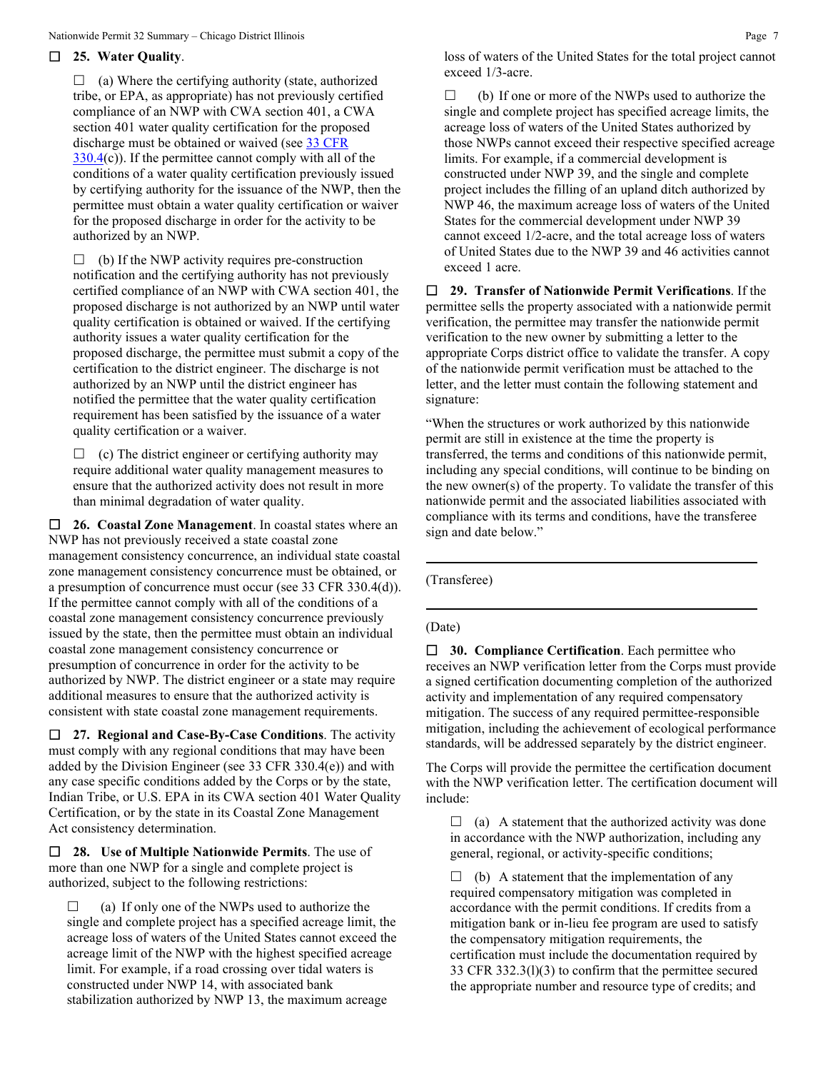## **25. Water Quality**.

 $\Box$  (a) Where the certifying authority (state, authorized tribe, or EPA, as appropriate) has not previously certified compliance of an NWP with CWA section 401, a CWA section 401 water quality certification for the proposed discharge must be obtained or waived (see [33 CFR](https://www.federalregister.gov/select-citation/2021/01/13/33-CFR-330.4)   $330.4(c)$  $330.4(c)$ ). If the permittee cannot comply with all of the conditions of a water quality certification previously issued by certifying authority for the issuance of the NWP, then the permittee must obtain a water quality certification or waiver for the proposed discharge in order for the activity to be authorized by an NWP.

 $\Box$  (b) If the NWP activity requires pre-construction notification and the certifying authority has not previously certified compliance of an NWP with CWA section 401, the proposed discharge is not authorized by an NWP until water quality certification is obtained or waived. If the certifying authority issues a water quality certification for the proposed discharge, the permittee must submit a copy of the certification to the district engineer. The discharge is not authorized by an NWP until the district engineer has notified the permittee that the water quality certification requirement has been satisfied by the issuance of a water quality certification or a waiver.

 $\Box$  (c) The district engineer or certifying authority may require additional water quality management measures to ensure that the authorized activity does not result in more than minimal degradation of water quality.

 **26. Coastal Zone Management**. In coastal states where an NWP has not previously received a state coastal zone management consistency concurrence, an individual state coastal zone management consistency concurrence must be obtained, or a presumption of concurrence must occur (see 33 CFR 330.4(d)). If the permittee cannot comply with all of the conditions of a coastal zone management consistency concurrence previously issued by the state, then the permittee must obtain an individual coastal zone management consistency concurrence or presumption of concurrence in order for the activity to be authorized by NWP. The district engineer or a state may require additional measures to ensure that the authorized activity is consistent with state coastal zone management requirements.

 **27. Regional and Case-By-Case Conditions**. The activity must comply with any regional conditions that may have been added by the Division Engineer (see 33 CFR 330.4(e)) and with any case specific conditions added by the Corps or by the state, Indian Tribe, or U.S. EPA in its CWA section 401 Water Quality Certification, or by the state in its Coastal Zone Management Act consistency determination.

 **28. Use of Multiple Nationwide Permits**. The use of more than one NWP for a single and complete project is authorized, subject to the following restrictions:

 $\Box$  (a) If only one of the NWPs used to authorize the single and complete project has a specified acreage limit, the acreage loss of waters of the United States cannot exceed the acreage limit of the NWP with the highest specified acreage limit. For example, if a road crossing over tidal waters is constructed under NWP 14, with associated bank stabilization authorized by NWP 13, the maximum acreage

loss of waters of the United States for the total project cannot exceed 1/3-acre.

 $\Box$  (b) If one or more of the NWPs used to authorize the single and complete project has specified acreage limits, the acreage loss of waters of the United States authorized by those NWPs cannot exceed their respective specified acreage limits. For example, if a commercial development is constructed under NWP 39, and the single and complete project includes the filling of an upland ditch authorized by NWP 46, the maximum acreage loss of waters of the United States for the commercial development under NWP 39 cannot exceed 1/2-acre, and the total acreage loss of waters of United States due to the NWP 39 and 46 activities cannot exceed 1 acre.

 **29. Transfer of Nationwide Permit Verifications**. If the permittee sells the property associated with a nationwide permit verification, the permittee may transfer the nationwide permit verification to the new owner by submitting a letter to the appropriate Corps district office to validate the transfer. A copy of the nationwide permit verification must be attached to the letter, and the letter must contain the following statement and signature:

"When the structures or work authorized by this nationwide permit are still in existence at the time the property is transferred, the terms and conditions of this nationwide permit, including any special conditions, will continue to be binding on the new owner(s) of the property. To validate the transfer of this nationwide permit and the associated liabilities associated with compliance with its terms and conditions, have the transferee sign and date below."

(Transferee)

#### (Date)

 **30. Compliance Certification**. Each permittee who receives an NWP verification letter from the Corps must provide a signed certification documenting completion of the authorized activity and implementation of any required compensatory mitigation. The success of any required permittee-responsible mitigation, including the achievement of ecological performance standards, will be addressed separately by the district engineer.

The Corps will provide the permittee the certification document with the NWP verification letter. The certification document will include:

 $\Box$  (a) A statement that the authorized activity was done in accordance with the NWP authorization, including any general, regional, or activity-specific conditions;

 $\Box$  (b) A statement that the implementation of any required compensatory mitigation was completed in accordance with the permit conditions. If credits from a mitigation bank or in-lieu fee program are used to satisfy the compensatory mitigation requirements, the certification must include the documentation required by 33 CFR 332.3(l)(3) to confirm that the permittee secured the appropriate number and resource type of credits; and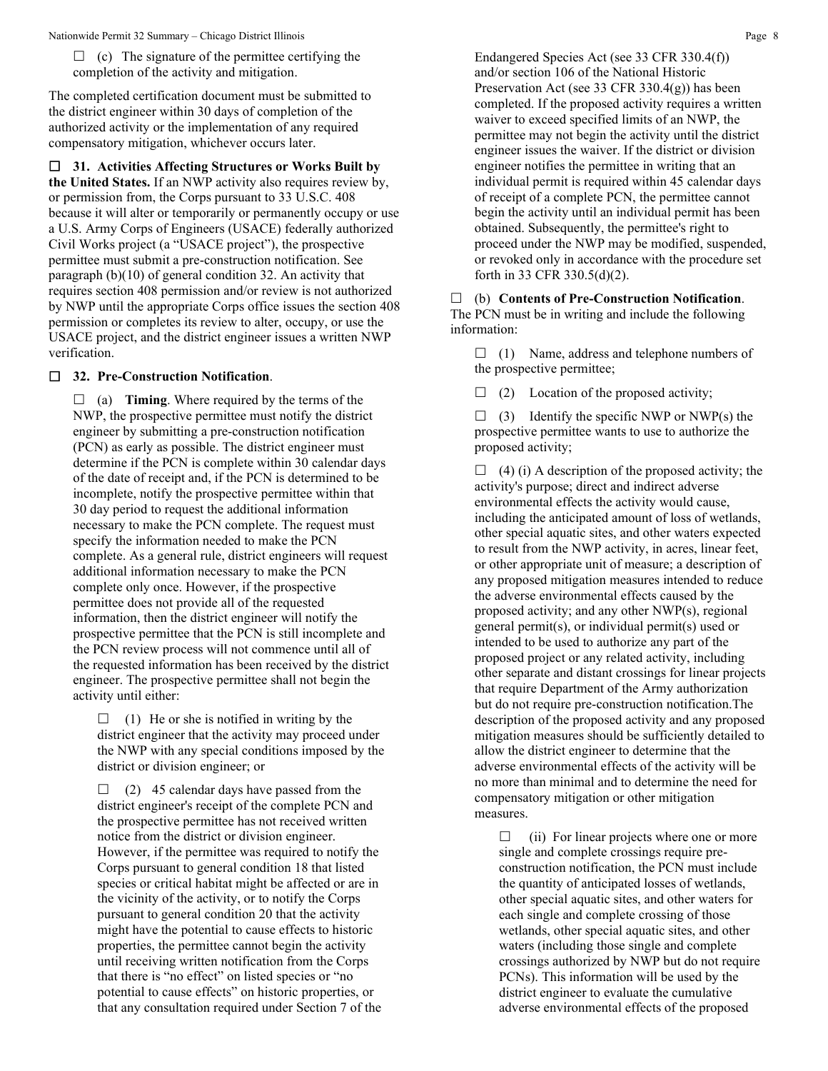$\Box$  (c) The signature of the permittee certifying the completion of the activity and mitigation.

The completed certification document must be submitted to the district engineer within 30 days of completion of the authorized activity or the implementation of any required compensatory mitigation, whichever occurs later.

 **31. Activities Affecting Structures or Works Built by the United States.** If an NWP activity also requires review by, or permission from, the Corps pursuant to 33 U.S.C. 408 because it will alter or temporarily or permanently occupy or use a U.S. Army Corps of Engineers (USACE) federally authorized Civil Works project (a "USACE project"), the prospective permittee must submit a pre-construction notification. See paragraph (b)(10) of general condition 32. An activity that requires section 408 permission and/or review is not authorized by NWP until the appropriate Corps office issues the section 408 permission or completes its review to alter, occupy, or use the USACE project, and the district engineer issues a written NWP verification.

# **32. Pre-Construction Notification**.

 $\Box$  (a) **Timing**. Where required by the terms of the NWP, the prospective permittee must notify the district engineer by submitting a pre-construction notification (PCN) as early as possible. The district engineer must determine if the PCN is complete within 30 calendar days of the date of receipt and, if the PCN is determined to be incomplete, notify the prospective permittee within that 30 day period to request the additional information necessary to make the PCN complete. The request must specify the information needed to make the PCN complete. As a general rule, district engineers will request additional information necessary to make the PCN complete only once. However, if the prospective permittee does not provide all of the requested information, then the district engineer will notify the prospective permittee that the PCN is still incomplete and the PCN review process will not commence until all of the requested information has been received by the district engineer. The prospective permittee shall not begin the activity until either:

 $\Box$  (1) He or she is notified in writing by the district engineer that the activity may proceed under the NWP with any special conditions imposed by the district or division engineer; or

 $\Box$  (2) 45 calendar days have passed from the district engineer's receipt of the complete PCN and the prospective permittee has not received written notice from the district or division engineer. However, if the permittee was required to notify the Corps pursuant to general condition 18 that listed species or critical habitat might be affected or are in the vicinity of the activity, or to notify the Corps pursuant to general condition 20 that the activity might have the potential to cause effects to historic properties, the permittee cannot begin the activity until receiving written notification from the Corps that there is "no effect" on listed species or "no potential to cause effects" on historic properties, or that any consultation required under Section 7 of the Endangered Species Act (see 33 CFR 330.4(f)) and/or section 106 of the National Historic Preservation Act (see 33 CFR 330.4(g)) has been completed. If the proposed activity requires a written waiver to exceed specified limits of an NWP, the permittee may not begin the activity until the district engineer issues the waiver. If the district or division engineer notifies the permittee in writing that an individual permit is required within 45 calendar days of receipt of a complete PCN, the permittee cannot begin the activity until an individual permit has been obtained. Subsequently, the permittee's right to proceed under the NWP may be modified, suspended, or revoked only in accordance with the procedure set forth in 33 CFR 330.5(d)(2).

 (b) **Contents of Pre-Construction Notification**. The PCN must be in writing and include the following information:

 $\Box$  (1) Name, address and telephone numbers of the prospective permittee;

 $\Box$  (2) Location of the proposed activity;

 $\Box$  (3) Identify the specific NWP or NWP(s) the prospective permittee wants to use to authorize the proposed activity;

 $\Box$  (4) (i) A description of the proposed activity; the activity's purpose; direct and indirect adverse environmental effects the activity would cause, including the anticipated amount of loss of wetlands, other special aquatic sites, and other waters expected to result from the NWP activity, in acres, linear feet, or other appropriate unit of measure; a description of any proposed mitigation measures intended to reduce the adverse environmental effects caused by the proposed activity; and any other NWP(s), regional general permit(s), or individual permit(s) used or intended to be used to authorize any part of the proposed project or any related activity, including other separate and distant crossings for linear projects that require Department of the Army authorization but do not require pre-construction notification.The description of the proposed activity and any proposed mitigation measures should be sufficiently detailed to allow the district engineer to determine that the adverse environmental effects of the activity will be no more than minimal and to determine the need for compensatory mitigation or other mitigation measures.

 $\Box$  (ii) For linear projects where one or more single and complete crossings require preconstruction notification, the PCN must include the quantity of anticipated losses of wetlands, other special aquatic sites, and other waters for each single and complete crossing of those wetlands, other special aquatic sites, and other waters (including those single and complete crossings authorized by NWP but do not require PCNs). This information will be used by the district engineer to evaluate the cumulative adverse environmental effects of the proposed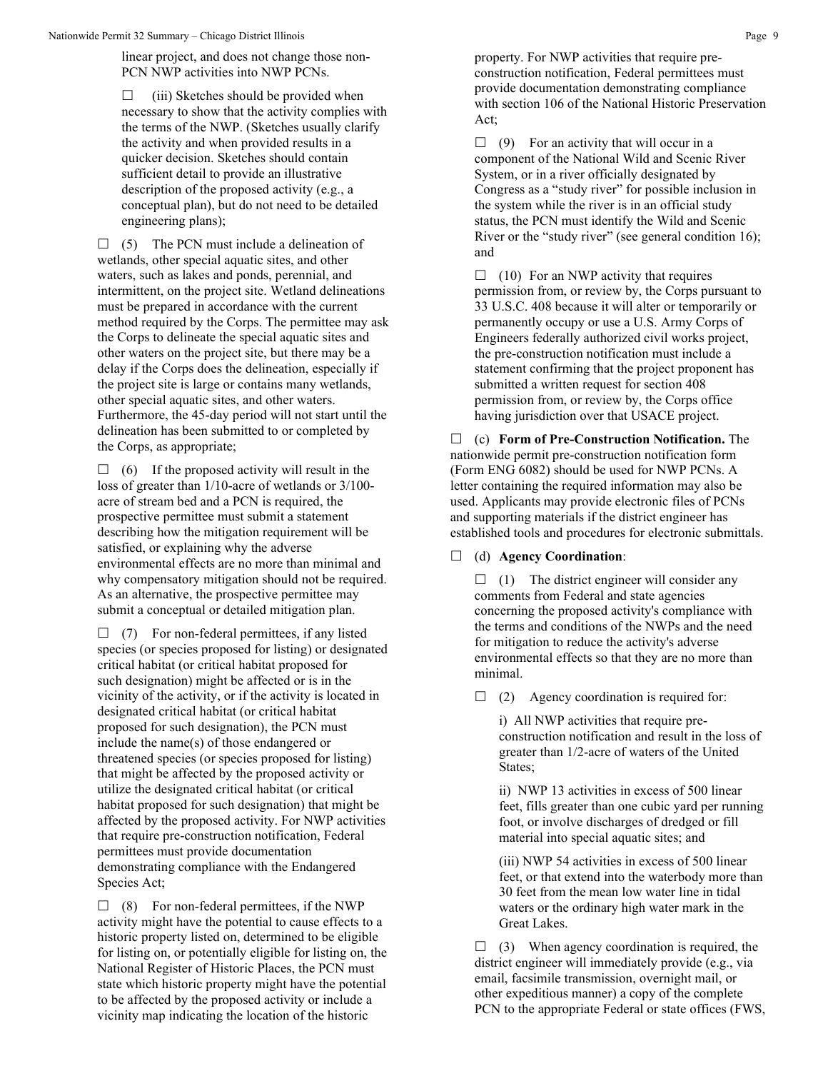linear project, and does not change those non-PCN NWP activities into NWP PCNs.

 $\Box$  (iii) Sketches should be provided when necessary to show that the activity complies with the terms of the NWP. (Sketches usually clarify the activity and when provided results in a quicker decision. Sketches should contain sufficient detail to provide an illustrative description of the proposed activity (e.g., a conceptual plan), but do not need to be detailed engineering plans);

 $\Box$  (5) The PCN must include a delineation of wetlands, other special aquatic sites, and other waters, such as lakes and ponds, perennial, and intermittent, on the project site. Wetland delineations must be prepared in accordance with the current method required by the Corps. The permittee may ask the Corps to delineate the special aquatic sites and other waters on the project site, but there may be a delay if the Corps does the delineation, especially if the project site is large or contains many wetlands, other special aquatic sites, and other waters. Furthermore, the 45-day period will not start until the delineation has been submitted to or completed by the Corps, as appropriate;

 $\Box$  (6) If the proposed activity will result in the loss of greater than 1/10-acre of wetlands or 3/100 acre of stream bed and a PCN is required, the prospective permittee must submit a statement describing how the mitigation requirement will be satisfied, or explaining why the adverse environmental effects are no more than minimal and why compensatory mitigation should not be required. As an alternative, the prospective permittee may submit a conceptual or detailed mitigation plan.

 $\Box$  (7) For non-federal permittees, if any listed species (or species proposed for listing) or designated critical habitat (or critical habitat proposed for such designation) might be affected or is in the vicinity of the activity, or if the activity is located in designated critical habitat (or critical habitat proposed for such designation), the PCN must include the name(s) of those endangered or threatened species (or species proposed for listing) that might be affected by the proposed activity or utilize the designated critical habitat (or critical habitat proposed for such designation) that might be affected by the proposed activity. For NWP activities that require pre-construction notification, Federal permittees must provide documentation demonstrating compliance with the Endangered Species Act;

 $\Box$  (8) For non-federal permittees, if the NWP activity might have the potential to cause effects to a historic property listed on, determined to be eligible for listing on, or potentially eligible for listing on, the National Register of Historic Places, the PCN must state which historic property might have the potential to be affected by the proposed activity or include a vicinity map indicating the location of the historic

property. For NWP activities that require preconstruction notification, Federal permittees must provide documentation demonstrating compliance with section 106 of the National Historic Preservation Act;

 $\Box$  (9) For an activity that will occur in a component of the National Wild and Scenic River System, or in a river officially designated by Congress as a "study river" for possible inclusion in the system while the river is in an official study status, the PCN must identify the Wild and Scenic River or the "study river" (see general condition 16); and

 $\Box$  (10) For an NWP activity that requires permission from, or review by, the Corps pursuant to 33 U.S.C. 408 because it will alter or temporarily or permanently occupy or use a U.S. Army Corps of Engineers federally authorized civil works project, the pre-construction notification must include a statement confirming that the project proponent has submitted a written request for section 408 permission from, or review by, the Corps office having jurisdiction over that USACE project.

 (c) **Form of Pre-Construction Notification.** The nationwide permit pre-construction notification form (Form ENG 6082) should be used for NWP PCNs. A letter containing the required information may also be used. Applicants may provide electronic files of PCNs and supporting materials if the district engineer has established tools and procedures for electronic submittals.

(d) **Agency Coordination**:

 $\Box$  (1) The district engineer will consider any comments from Federal and state agencies concerning the proposed activity's compliance with the terms and conditions of the NWPs and the need for mitigation to reduce the activity's adverse environmental effects so that they are no more than minimal.

 $\Box$  (2) Agency coordination is required for:

i) All NWP activities that require preconstruction notification and result in the loss of greater than 1/2-acre of waters of the United States;

ii) NWP 13 activities in excess of 500 linear feet, fills greater than one cubic yard per running foot, or involve discharges of dredged or fill material into special aquatic sites; and

(iii) NWP 54 activities in excess of 500 linear feet, or that extend into the waterbody more than 30 feet from the mean low water line in tidal waters or the ordinary high water mark in the Great Lakes.

 $\Box$  (3) When agency coordination is required, the district engineer will immediately provide (e.g., via email, facsimile transmission, overnight mail, or other expeditious manner) a copy of the complete PCN to the appropriate Federal or state offices (FWS,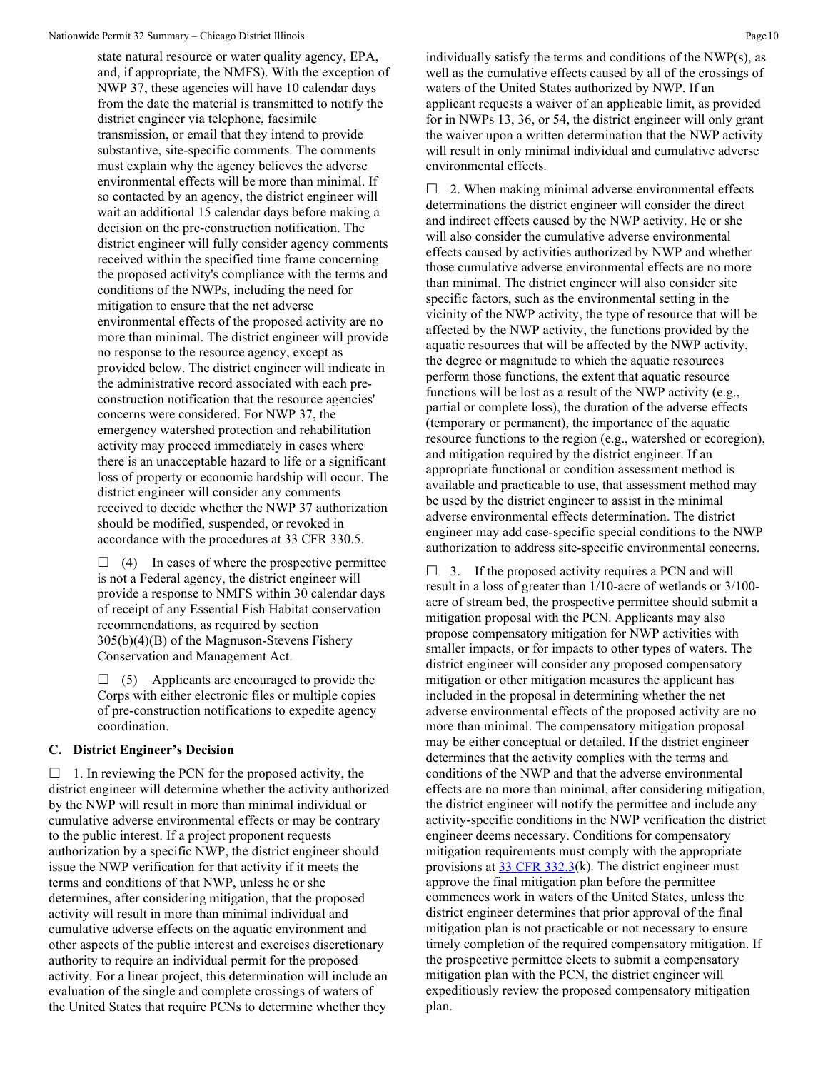state natural resource or water quality agency, EPA, and, if appropriate, the NMFS). With the exception of NWP 37, these agencies will have 10 calendar days from the date the material is transmitted to notify the district engineer via telephone, facsimile transmission, or email that they intend to provide substantive, site-specific comments. The comments must explain why the agency believes the adverse environmental effects will be more than minimal. If so contacted by an agency, the district engineer will wait an additional 15 calendar days before making a decision on the pre-construction notification. The district engineer will fully consider agency comments received within the specified time frame concerning the proposed activity's compliance with the terms and conditions of the NWPs, including the need for mitigation to ensure that the net adverse environmental effects of the proposed activity are no more than minimal. The district engineer will provide no response to the resource agency, except as provided below. The district engineer will indicate in the administrative record associated with each preconstruction notification that the resource agencies' concerns were considered. For NWP 37, the emergency watershed protection and rehabilitation activity may proceed immediately in cases where there is an unacceptable hazard to life or a significant loss of property or economic hardship will occur. The district engineer will consider any comments received to decide whether the NWP 37 authorization should be modified, suspended, or revoked in accordance with the procedures at 33 CFR 330.5.

 $\Box$  (4) In cases of where the prospective permittee is not a Federal agency, the district engineer will provide a response to NMFS within 30 calendar days of receipt of any Essential Fish Habitat conservation recommendations, as required by section 305(b)(4)(B) of the Magnuson-Stevens Fishery Conservation and Management Act.

 $\Box$  (5) Applicants are encouraged to provide the Corps with either electronic files or multiple copies of pre-construction notifications to expedite agency coordination.

## **C. District Engineer's Decision**

 $\Box$  1. In reviewing the PCN for the proposed activity, the district engineer will determine whether the activity authorized by the NWP will result in more than minimal individual or cumulative adverse environmental effects or may be contrary to the public interest. If a project proponent requests authorization by a specific NWP, the district engineer should issue the NWP verification for that activity if it meets the terms and conditions of that NWP, unless he or she determines, after considering mitigation, that the proposed activity will result in more than minimal individual and cumulative adverse effects on the aquatic environment and other aspects of the public interest and exercises discretionary authority to require an individual permit for the proposed activity. For a linear project, this determination will include an evaluation of the single and complete crossings of waters of the United States that require PCNs to determine whether they

individually satisfy the terms and conditions of the NWP(s), as well as the cumulative effects caused by all of the crossings of waters of the United States authorized by NWP. If an applicant requests a waiver of an applicable limit, as provided for in NWPs 13, 36, or 54, the district engineer will only grant the waiver upon a written determination that the NWP activity will result in only minimal individual and cumulative adverse environmental effects.

 $\Box$  2. When making minimal adverse environmental effects determinations the district engineer will consider the direct and indirect effects caused by the NWP activity. He or she will also consider the cumulative adverse environmental effects caused by activities authorized by NWP and whether those cumulative adverse environmental effects are no more than minimal. The district engineer will also consider site specific factors, such as the environmental setting in the vicinity of the NWP activity, the type of resource that will be affected by the NWP activity, the functions provided by the aquatic resources that will be affected by the NWP activity, the degree or magnitude to which the aquatic resources perform those functions, the extent that aquatic resource functions will be lost as a result of the NWP activity (e.g., partial or complete loss), the duration of the adverse effects (temporary or permanent), the importance of the aquatic resource functions to the region (e.g., watershed or ecoregion), and mitigation required by the district engineer. If an appropriate functional or condition assessment method is available and practicable to use, that assessment method may be used by the district engineer to assist in the minimal adverse environmental effects determination. The district engineer may add case-specific special conditions to the NWP authorization to address site-specific environmental concerns.

 $\Box$  3. If the proposed activity requires a PCN and will result in a loss of greater than 1/10-acre of wetlands or 3/100 acre of stream bed, the prospective permittee should submit a mitigation proposal with the PCN. Applicants may also propose compensatory mitigation for NWP activities with smaller impacts, or for impacts to other types of waters. The district engineer will consider any proposed compensatory mitigation or other mitigation measures the applicant has included in the proposal in determining whether the net adverse environmental effects of the proposed activity are no more than minimal. The compensatory mitigation proposal may be either conceptual or detailed. If the district engineer determines that the activity complies with the terms and conditions of the NWP and that the adverse environmental effects are no more than minimal, after considering mitigation, the district engineer will notify the permittee and include any activity-specific conditions in the NWP verification the district engineer deems necessary. Conditions for compensatory mitigation requirements must comply with the appropriate provisions at  $33 \text{ CFR } 332.3(k)$ . The district engineer must approve the final mitigation plan before the permittee commences work in waters of the United States, unless the district engineer determines that prior approval of the final mitigation plan is not practicable or not necessary to ensure timely completion of the required compensatory mitigation. If the prospective permittee elects to submit a compensatory mitigation plan with the PCN, the district engineer will expeditiously review the proposed compensatory mitigation plan.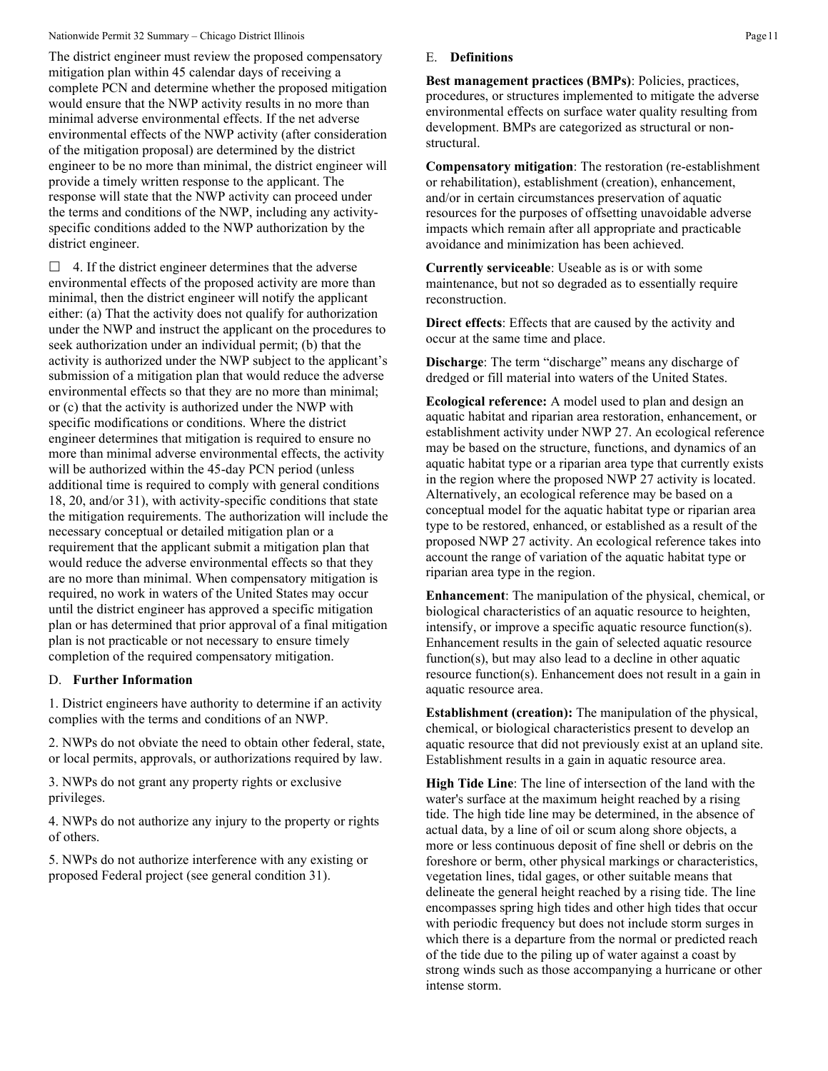The district engineer must review the proposed compensatory mitigation plan within 45 calendar days of receiving a complete PCN and determine whether the proposed mitigation would ensure that the NWP activity results in no more than minimal adverse environmental effects. If the net adverse environmental effects of the NWP activity (after consideration of the mitigation proposal) are determined by the district engineer to be no more than minimal, the district engineer will provide a timely written response to the applicant. The response will state that the NWP activity can proceed under the terms and conditions of the NWP, including any activityspecific conditions added to the NWP authorization by the district engineer.

 $\Box$  4. If the district engineer determines that the adverse environmental effects of the proposed activity are more than minimal, then the district engineer will notify the applicant either: (a) That the activity does not qualify for authorization under the NWP and instruct the applicant on the procedures to seek authorization under an individual permit; (b) that the activity is authorized under the NWP subject to the applicant's submission of a mitigation plan that would reduce the adverse environmental effects so that they are no more than minimal; or (c) that the activity is authorized under the NWP with specific modifications or conditions. Where the district engineer determines that mitigation is required to ensure no more than minimal adverse environmental effects, the activity will be authorized within the 45-day PCN period (unless additional time is required to comply with general conditions 18, 20, and/or 31), with activity-specific conditions that state the mitigation requirements. The authorization will include the necessary conceptual or detailed mitigation plan or a requirement that the applicant submit a mitigation plan that would reduce the adverse environmental effects so that they are no more than minimal. When compensatory mitigation is required, no work in waters of the United States may occur until the district engineer has approved a specific mitigation plan or has determined that prior approval of a final mitigation plan is not practicable or not necessary to ensure timely completion of the required compensatory mitigation.

## D. **Further Information**

1. District engineers have authority to determine if an activity complies with the terms and conditions of an NWP.

2. NWPs do not obviate the need to obtain other federal, state, or local permits, approvals, or authorizations required by law.

3. NWPs do not grant any property rights or exclusive privileges.

4. NWPs do not authorize any injury to the property or rights of others.

5. NWPs do not authorize interference with any existing or proposed Federal project (see general condition 31).

#### E. **Definitions**

**Best management practices (BMPs)**: Policies, practices, procedures, or structures implemented to mitigate the adverse environmental effects on surface water quality resulting from development. BMPs are categorized as structural or nonstructural.

**Compensatory mitigation**: The restoration (re-establishment or rehabilitation), establishment (creation), enhancement, and/or in certain circumstances preservation of aquatic resources for the purposes of offsetting unavoidable adverse impacts which remain after all appropriate and practicable avoidance and minimization has been achieved.

**Currently serviceable**: Useable as is or with some maintenance, but not so degraded as to essentially require reconstruction.

**Direct effects**: Effects that are caused by the activity and occur at the same time and place.

**Discharge:** The term "discharge" means any discharge of dredged or fill material into waters of the United States.

**Ecological reference:** A model used to plan and design an aquatic habitat and riparian area restoration, enhancement, or establishment activity under NWP 27. An ecological reference may be based on the structure, functions, and dynamics of an aquatic habitat type or a riparian area type that currently exists in the region where the proposed NWP 27 activity is located. Alternatively, an ecological reference may be based on a conceptual model for the aquatic habitat type or riparian area type to be restored, enhanced, or established as a result of the proposed NWP 27 activity. An ecological reference takes into account the range of variation of the aquatic habitat type or riparian area type in the region.

**Enhancement**: The manipulation of the physical, chemical, or biological characteristics of an aquatic resource to heighten, intensify, or improve a specific aquatic resource function(s). Enhancement results in the gain of selected aquatic resource function(s), but may also lead to a decline in other aquatic resource function(s). Enhancement does not result in a gain in aquatic resource area.

**Establishment (creation):** The manipulation of the physical, chemical, or biological characteristics present to develop an aquatic resource that did not previously exist at an upland site. Establishment results in a gain in aquatic resource area.

**High Tide Line**: The line of intersection of the land with the water's surface at the maximum height reached by a rising tide. The high tide line may be determined, in the absence of actual data, by a line of oil or scum along shore objects, a more or less continuous deposit of fine shell or debris on the foreshore or berm, other physical markings or characteristics, vegetation lines, tidal gages, or other suitable means that delineate the general height reached by a rising tide. The line encompasses spring high tides and other high tides that occur with periodic frequency but does not include storm surges in which there is a departure from the normal or predicted reach of the tide due to the piling up of water against a coast by strong winds such as those accompanying a hurricane or other intense storm.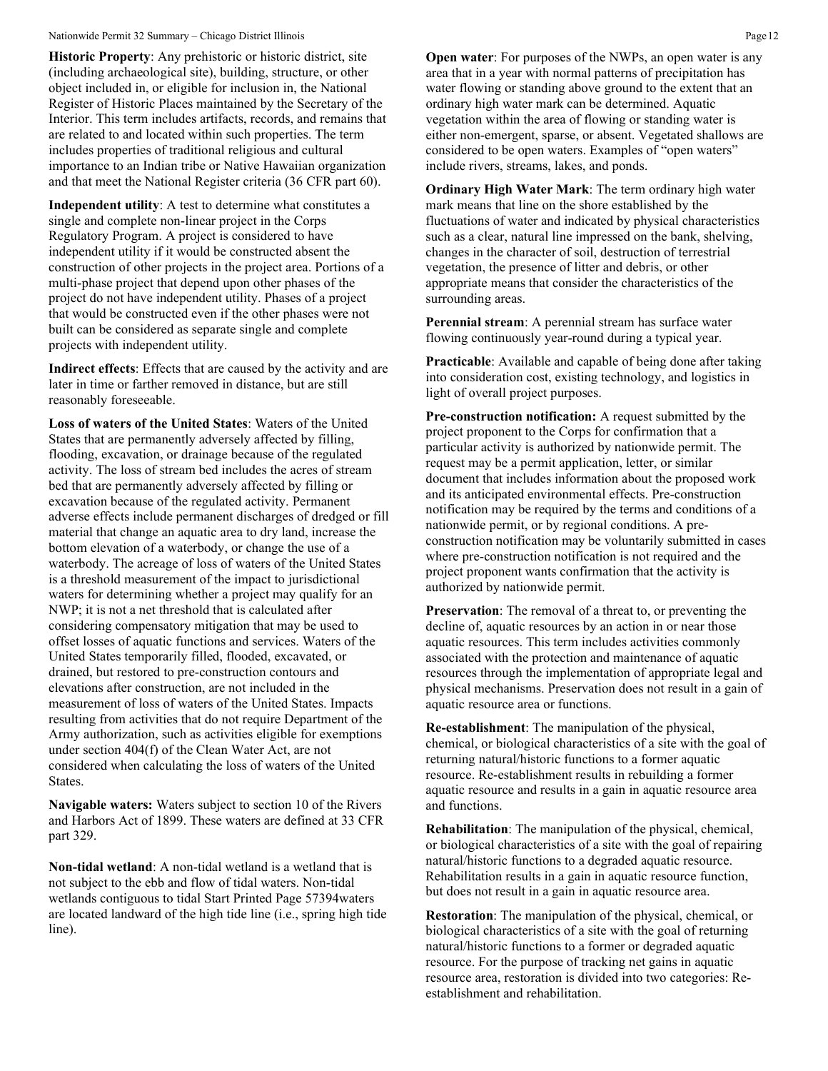**Historic Property**: Any prehistoric or historic district, site (including archaeological site), building, structure, or other object included in, or eligible for inclusion in, the National Register of Historic Places maintained by the Secretary of the Interior. This term includes artifacts, records, and remains that are related to and located within such properties. The term includes properties of traditional religious and cultural importance to an Indian tribe or Native Hawaiian organization and that meet the National Register criteria (36 CFR part 60).

**Independent utility**: A test to determine what constitutes a single and complete non-linear project in the Corps Regulatory Program. A project is considered to have independent utility if it would be constructed absent the construction of other projects in the project area. Portions of a multi-phase project that depend upon other phases of the project do not have independent utility. Phases of a project that would be constructed even if the other phases were not built can be considered as separate single and complete projects with independent utility.

**Indirect effects**: Effects that are caused by the activity and are later in time or farther removed in distance, but are still reasonably foreseeable.

**Loss of waters of the United States**: Waters of the United States that are permanently adversely affected by filling, flooding, excavation, or drainage because of the regulated activity. The loss of stream bed includes the acres of stream bed that are permanently adversely affected by filling or excavation because of the regulated activity. Permanent adverse effects include permanent discharges of dredged or fill material that change an aquatic area to dry land, increase the bottom elevation of a waterbody, or change the use of a waterbody. The acreage of loss of waters of the United States is a threshold measurement of the impact to jurisdictional waters for determining whether a project may qualify for an NWP; it is not a net threshold that is calculated after considering compensatory mitigation that may be used to offset losses of aquatic functions and services. Waters of the United States temporarily filled, flooded, excavated, or drained, but restored to pre-construction contours and elevations after construction, are not included in the measurement of loss of waters of the United States. Impacts resulting from activities that do not require Department of the Army authorization, such as activities eligible for exemptions under section 404(f) of the Clean Water Act, are not considered when calculating the loss of waters of the United States.

**Navigable waters:** Waters subject to section 10 of the Rivers and Harbors Act of 1899. These waters are defined at 33 CFR part 329.

**Non-tidal wetland**: A non-tidal wetland is a wetland that is not subject to the ebb and flow of tidal waters. Non-tidal wetlands contiguous to tidal Start Printed Page 57394waters are located landward of the high tide line (i.e., spring high tide line).

**Open water:** For purposes of the NWPs, an open water is any area that in a year with normal patterns of precipitation has water flowing or standing above ground to the extent that an ordinary high water mark can be determined. Aquatic vegetation within the area of flowing or standing water is either non-emergent, sparse, or absent. Vegetated shallows are considered to be open waters. Examples of "open waters" include rivers, streams, lakes, and ponds.

**Ordinary High Water Mark**: The term ordinary high water mark means that line on the shore established by the fluctuations of water and indicated by physical characteristics such as a clear, natural line impressed on the bank, shelving, changes in the character of soil, destruction of terrestrial vegetation, the presence of litter and debris, or other appropriate means that consider the characteristics of the surrounding areas.

**Perennial stream**: A perennial stream has surface water flowing continuously year-round during a typical year.

**Practicable**: Available and capable of being done after taking into consideration cost, existing technology, and logistics in light of overall project purposes.

**Pre-construction notification:** A request submitted by the project proponent to the Corps for confirmation that a particular activity is authorized by nationwide permit. The request may be a permit application, letter, or similar document that includes information about the proposed work and its anticipated environmental effects. Pre-construction notification may be required by the terms and conditions of a nationwide permit, or by regional conditions. A preconstruction notification may be voluntarily submitted in cases where pre-construction notification is not required and the project proponent wants confirmation that the activity is authorized by nationwide permit.

**Preservation**: The removal of a threat to, or preventing the decline of, aquatic resources by an action in or near those aquatic resources. This term includes activities commonly associated with the protection and maintenance of aquatic resources through the implementation of appropriate legal and physical mechanisms. Preservation does not result in a gain of aquatic resource area or functions.

**Re-establishment**: The manipulation of the physical, chemical, or biological characteristics of a site with the goal of returning natural/historic functions to a former aquatic resource. Re-establishment results in rebuilding a former aquatic resource and results in a gain in aquatic resource area and functions.

**Rehabilitation**: The manipulation of the physical, chemical, or biological characteristics of a site with the goal of repairing natural/historic functions to a degraded aquatic resource. Rehabilitation results in a gain in aquatic resource function, but does not result in a gain in aquatic resource area.

**Restoration**: The manipulation of the physical, chemical, or biological characteristics of a site with the goal of returning natural/historic functions to a former or degraded aquatic resource. For the purpose of tracking net gains in aquatic resource area, restoration is divided into two categories: Reestablishment and rehabilitation.